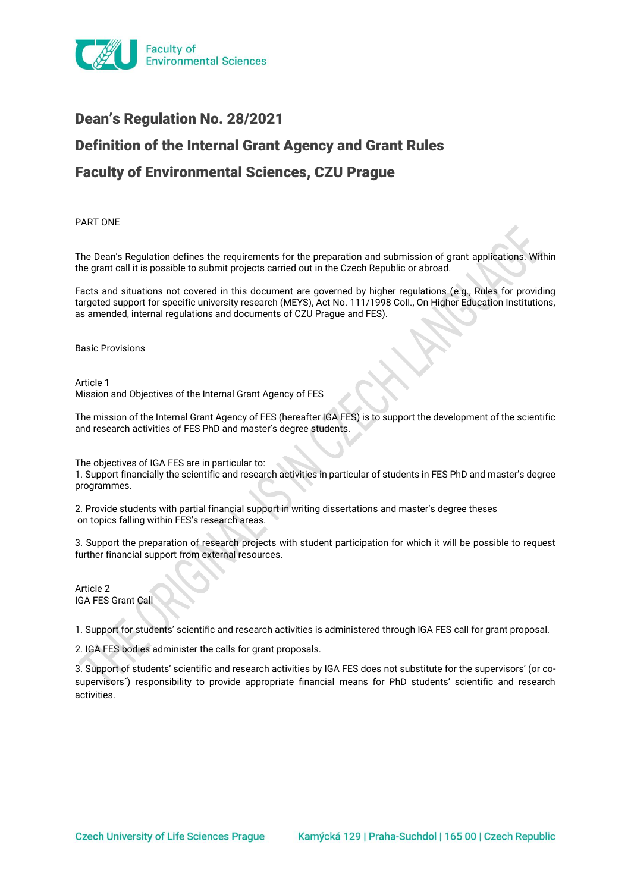

# Dean's Regulation No. 28/2021 Definition of the Internal Grant Agency and Grant Rules Faculty of Environmental Sciences, CZU Prague

PART ONE

The Dean's Regulation defines the requirements for the preparation and submission of grant applications. Within the grant call it is possible to submit projects carried out in the Czech Republic or abroad.

Facts and situations not covered in this document are governed by higher regulations (e.g., Rules for providing targeted support for specific university research (MEYS), Act No. 111/1998 Coll., On Higher Education Institutions, as amended, internal regulations and documents of CZU Prague and FES).

Basic Provisions

Article 1 Mission and Objectives of the Internal Grant Agency of FES

The mission of the Internal Grant Agency of FES (hereafter IGA FES) is to support the development of the scientific and research activities of FES PhD and master's degree students.

The objectives of IGA FES are in particular to:

1. Support financially the scientific and research activities in particular of students in FES PhD and master's degree programmes.

2. Provide students with partial financial support in writing dissertations and master's degree theses on topics falling within FES's research areas.

3. Support the preparation of research projects with student participation for which it will be possible to request further financial support from external resources.

Article 2 IGA FES Grant Call

1. Support for students' scientific and research activities is administered through IGA FES call for grant proposal.

2. IGA FES bodies administer the calls for grant proposals.

3. Support of students' scientific and research activities by IGA FES does not substitute for the supervisors' (or cosupervisors´) responsibility to provide appropriate financial means for PhD students' scientific and research activities.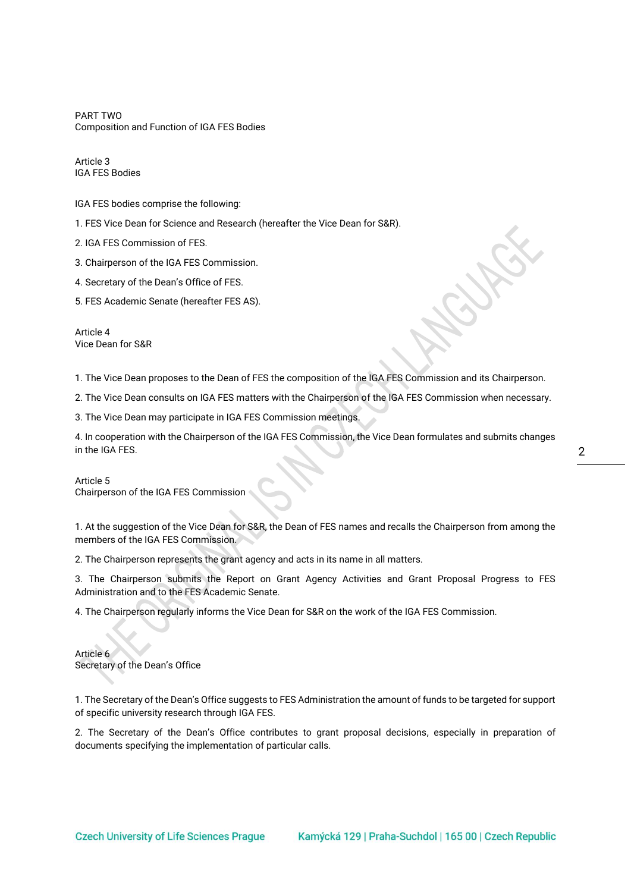PART TWO Composition and Function of IGA FES Bodies

Article 3 IGA FES Bodies

IGA FES bodies comprise the following:

1. FES Vice Dean for Science and Research (hereafter the Vice Dean for S&R).

2. IGA FES Commission of FES.

3. Chairperson of the IGA FES Commission.

4. Secretary of the Dean's Office of FES.

5. FES Academic Senate (hereafter FES AS).

Article 4 Vice Dean for S&R

1. The Vice Dean proposes to the Dean of FES the composition of the IGA FES Commission and its Chairperson.

2. The Vice Dean consults on IGA FES matters with the Chairperson of the IGA FES Commission when necessary.

3. The Vice Dean may participate in IGA FES Commission meetings.

4. In cooperation with the Chairperson of the IGA FES Commission, the Vice Dean formulates and submits changes in the IGA FES.

Article 5 Chairperson of the IGA FES Commission

1. At the suggestion of the Vice Dean for S&R, the Dean of FES names and recalls the Chairperson from among the members of the IGA FES Commission.

2. The Chairperson represents the grant agency and acts in its name in all matters.

3. The Chairperson submits the Report on Grant Agency Activities and Grant Proposal Progress to FES Administration and to the FES Academic Senate.

4. The Chairperson regularly informs the Vice Dean for S&R on the work of the IGA FES Commission.

Article 6 Secretary of the Dean's Office

1. The Secretary of the Dean's Office suggests to FES Administration the amount of funds to be targeted for support of specific university research through IGA FES.

2. The Secretary of the Dean's Office contributes to grant proposal decisions, especially in preparation of documents specifying the implementation of particular calls.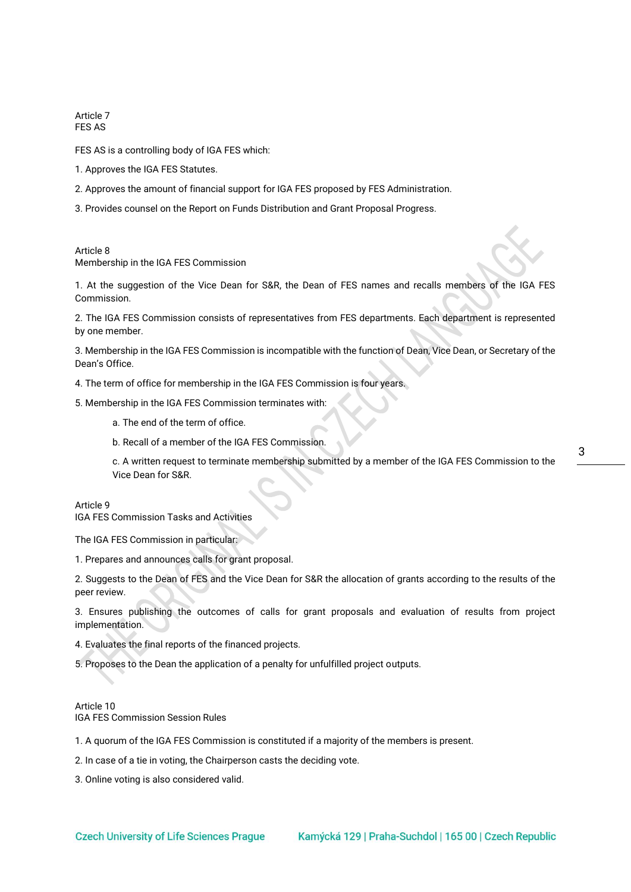Article 7 FES AS

FES AS is a controlling body of IGA FES which:

- 1. Approves the IGA FES Statutes.
- 2. Approves the amount of financial support for IGA FES proposed by FES Administration.
- 3. Provides counsel on the Report on Funds Distribution and Grant Proposal Progress.

Article 8 Membership in the IGA FES Commission

1. At the suggestion of the Vice Dean for S&R, the Dean of FES names and recalls members of the IGA FES Commission.

2. The IGA FES Commission consists of representatives from FES departments. Each department is represented by one member.

3. Membership in the IGA FES Commission is incompatible with the function of Dean, Vice Dean, or Secretary of the Dean's Office.

4. The term of office for membership in the IGA FES Commission is four years.

5. Membership in the IGA FES Commission terminates with:

- a. The end of the term of office.
- b. Recall of a member of the IGA FES Commission.

c. A written request to terminate membership submitted by a member of the IGA FES Commission to the Vice Dean for S&R.

Article 9

IGA FES Commission Tasks and Activities

The IGA FES Commission in particular:

1. Prepares and announces calls for grant proposal.

2. Suggests to the Dean of FES and the Vice Dean for S&R the allocation of grants according to the results of the peer review.

3. Ensures publishing the outcomes of calls for grant proposals and evaluation of results from project implementation.

4. Evaluates the final reports of the financed projects.

5. Proposes to the Dean the application of a penalty for unfulfilled project outputs.

## Article 10 IGA FES Commission Session Rules

1. A quorum of the IGA FES Commission is constituted if a majority of the members is present.

2. In case of a tie in voting, the Chairperson casts the deciding vote.

3. Online voting is also considered valid.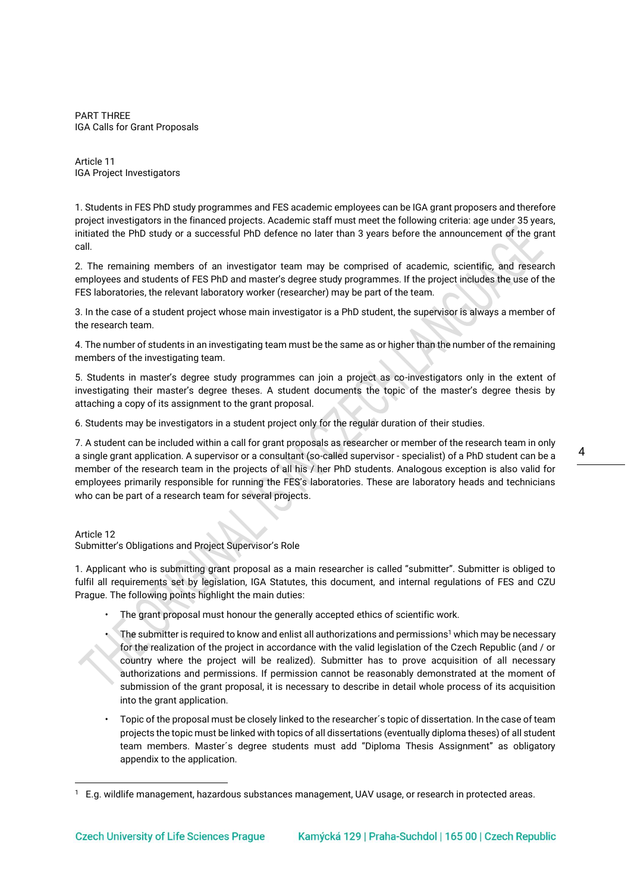PART THREE IGA Calls for Grant Proposals

Article 11 IGA Project Investigators

1. Students in FES PhD study programmes and FES academic employees can be IGA grant proposers and therefore project investigators in the financed projects. Academic staff must meet the following criteria: age under 35 years, initiated the PhD study or a successful PhD defence no later than 3 years before the announcement of the grant call.

2. The remaining members of an investigator team may be comprised of academic, scientific, and research employees and students of FES PhD and master's degree study programmes. If the project includes the use of the FES laboratories, the relevant laboratory worker (researcher) may be part of the team.

3. In the case of a student project whose main investigator is a PhD student, the supervisor is always a member of the research team.

4. The number of students in an investigating team must be the same as or higher than the number of the remaining members of the investigating team.

5. Students in master's degree study programmes can join a project as co-investigators only in the extent of investigating their master's degree theses. A student documents the topic of the master's degree thesis by attaching a copy of its assignment to the grant proposal.

6. Students may be investigators in a student project only for the regular duration of their studies.

7. A student can be included within a call for grant proposals as researcher or member of the research team in only a single grant application. A supervisor or a consultant (so-called supervisor - specialist) of a PhD student can be a member of the research team in the projects of all his / her PhD students. Analogous exception is also valid for employees primarily responsible for running the FES's laboratories. These are laboratory heads and technicians who can be part of a research team for several projects.

Article 12

Submitter's Obligations and Project Supervisor's Role

1. Applicant who is submitting grant proposal as a main researcher is called "submitter". Submitter is obliged to fulfil all requirements set by legislation, IGA Statutes, this document, and internal regulations of FES and CZU Prague. The following points highlight the main duties:

- The grant proposal must honour the generally accepted ethics of scientific work.
- The submitter is required to know and enlist all authorizations and permissions<sup>1</sup> which may be necessary for the realization of the project in accordance with the valid legislation of the Czech Republic (and / or country where the project will be realized). Submitter has to prove acquisition of all necessary authorizations and permissions. If permission cannot be reasonably demonstrated at the moment of submission of the grant proposal, it is necessary to describe in detail whole process of its acquisition into the grant application.
- Topic of the proposal must be closely linked to the researcher´s topic of dissertation. In the case of team projects the topic must be linked with topics of all dissertations (eventually diploma theses) of all student team members. Master´s degree students must add "Diploma Thesis Assignment" as obligatory appendix to the application.

<sup>1</sup> E.g. wildlife management, hazardous substances management, UAV usage, or research in protected areas.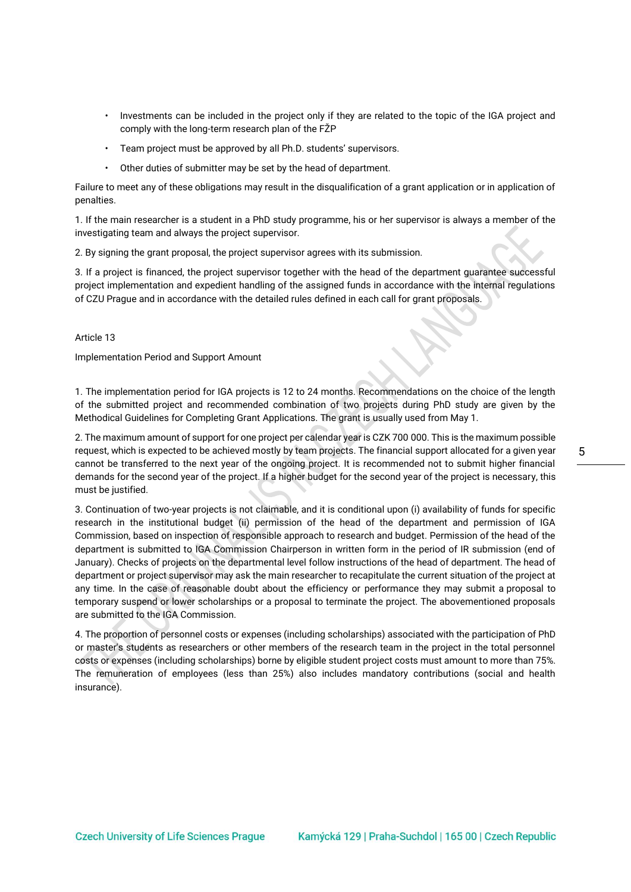- Investments can be included in the project only if they are related to the topic of the IGA project and comply with the long-term research plan of the FŽP
- Team project must be approved by all Ph.D. students' supervisors.
- Other duties of submitter may be set by the head of department.

Failure to meet any of these obligations may result in the disqualification of a grant application or in application of penalties.

1. If the main researcher is a student in a PhD study programme, his or her supervisor is always a member of the investigating team and always the project supervisor.

2. By signing the grant proposal, the project supervisor agrees with its submission.

3. If a project is financed, the project supervisor together with the head of the department guarantee successful project implementation and expedient handling of the assigned funds in accordance with the internal regulations of CZU Prague and in accordance with the detailed rules defined in each call for grant proposals.

Article 13

Implementation Period and Support Amount

1. The implementation period for IGA projects is 12 to 24 months. Recommendations on the choice of the length of the submitted project and recommended combination of two projects during PhD study are given by the Methodical Guidelines for Completing Grant Applications. The grant is usually used from May 1.

2. The maximum amount of support for one project per calendar year is CZK 700 000. This is the maximum possible request, which is expected to be achieved mostly by team projects. The financial support allocated for a given year cannot be transferred to the next year of the ongoing project. It is recommended not to submit higher financial demands for the second year of the project. If a higher budget for the second year of the project is necessary, this must be justified.

3. Continuation of two-year projects is not claimable, and it is conditional upon (i) availability of funds for specific research in the institutional budget (ii) permission of the head of the department and permission of IGA Commission, based on inspection of responsible approach to research and budget. Permission of the head of the department is submitted to IGA Commission Chairperson in written form in the period of IR submission (end of January). Checks of projects on the departmental level follow instructions of the head of department. The head of department or project supervisor may ask the main researcher to recapitulate the current situation of the project at any time. In the case of reasonable doubt about the efficiency or performance they may submit a proposal to temporary suspend or lower scholarships or a proposal to terminate the project. The abovementioned proposals are submitted to the IGA Commission.

4. The proportion of personnel costs or expenses (including scholarships) associated with the participation of PhD or master's students as researchers or other members of the research team in the project in the total personnel costs or expenses (including scholarships) borne by eligible student project costs must amount to more than 75%. The remuneration of employees (less than 25%) also includes mandatory contributions (social and health insurance).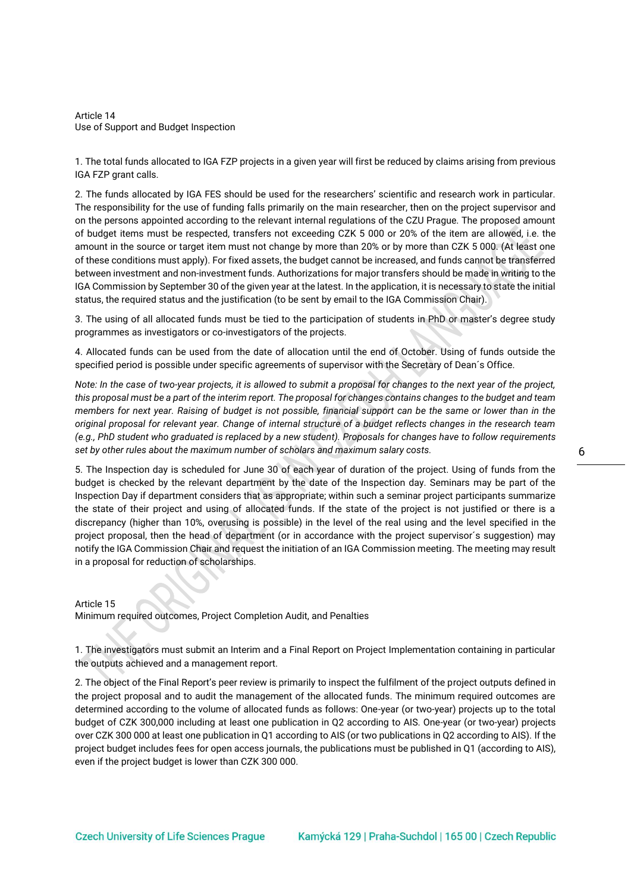Article 14 Use of Support and Budget Inspection

1. The total funds allocated to IGA FZP projects in a given year will first be reduced by claims arising from previous IGA FZP grant calls.

2. The funds allocated by IGA FES should be used for the researchers' scientific and research work in particular. The responsibility for the use of funding falls primarily on the main researcher, then on the project supervisor and on the persons appointed according to the relevant internal regulations of the CZU Prague. The proposed amount of budget items must be respected, transfers not exceeding CZK 5 000 or 20% of the item are allowed, i.e. the amount in the source or target item must not change by more than 20% or by more than CZK 5 000. (At least one of these conditions must apply). For fixed assets, the budget cannot be increased, and funds cannot be transferred between investment and non-investment funds. Authorizations for major transfers should be made in writing to the IGA Commission by September 30 of the given year at the latest. In the application, it is necessary to state the initial status, the required status and the justification (to be sent by email to the IGA Commission Chair).

3. The using of all allocated funds must be tied to the participation of students in PhD or master's degree study programmes as investigators or co-investigators of the projects.

4. Allocated funds can be used from the date of allocation until the end of October. Using of funds outside the specified period is possible under specific agreements of supervisor with the Secretary of Dean´s Office.

*Note: In the case of two-year projects, it is allowed to submit a proposal for changes to the next year of the project, this proposal must be a part of the interim report. The proposal for changes contains changes to the budget and team members for next year. Raising of budget is not possible, financial support can be the same or lower than in the original proposal for relevant year. Change of internal structure of a budget reflects changes in the research team (e.g., PhD student who graduated is replaced by a new student). Proposals for changes have to follow requirements set by other rules about the maximum number of scholars and maximum salary costs.* 

5. The Inspection day is scheduled for June 30 of each year of duration of the project. Using of funds from the budget is checked by the relevant department by the date of the Inspection day. Seminars may be part of the Inspection Day if department considers that as appropriate; within such a seminar project participants summarize the state of their project and using of allocated funds. If the state of the project is not justified or there is a discrepancy (higher than 10%, overusing is possible) in the level of the real using and the level specified in the project proposal, then the head of department (or in accordance with the project supervisor´s suggestion) may notify the IGA Commission Chair and request the initiation of an IGA Commission meeting. The meeting may result in a proposal for reduction of scholarships.

Article 15

Minimum required outcomes, Project Completion Audit, and Penalties

1. The investigators must submit an Interim and a Final Report on Project Implementation containing in particular the outputs achieved and a management report.

2. The object of the Final Report's peer review is primarily to inspect the fulfilment of the project outputs defined in the project proposal and to audit the management of the allocated funds. The minimum required outcomes are determined according to the volume of allocated funds as follows: One-year (or two-year) projects up to the total budget of CZK 300,000 including at least one publication in Q2 according to AIS. One-year (or two-year) projects over CZK 300 000 at least one publication in Q1 according to AIS (or two publications in Q2 according to AIS). If the project budget includes fees for open access journals, the publications must be published in Q1 (according to AIS), even if the project budget is lower than CZK 300 000.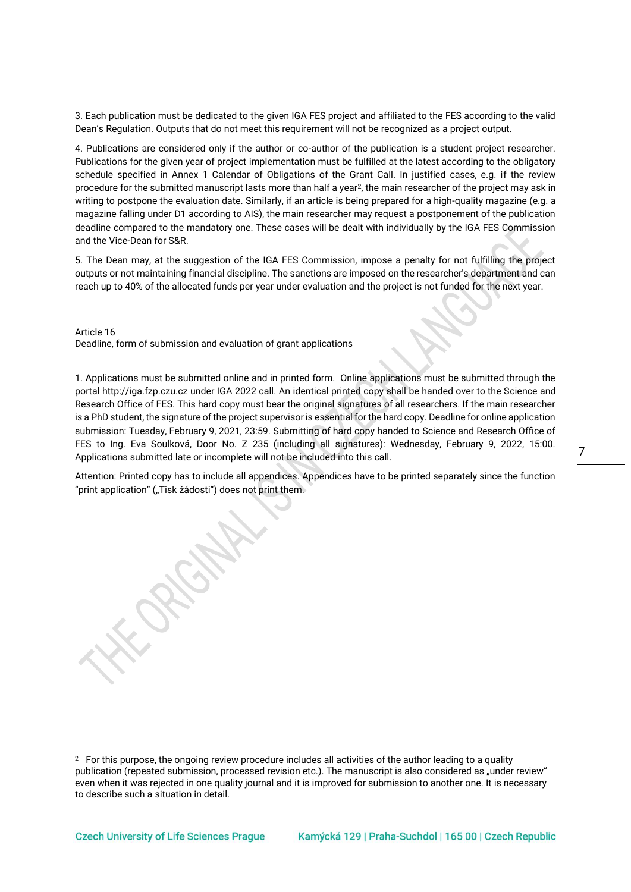3. Each publication must be dedicated to the given IGA FES project and affiliated to the FES according to the valid Dean's Regulation. Outputs that do not meet this requirement will not be recognized as a project output.

4. Publications are considered only if the author or co-author of the publication is a student project researcher. Publications for the given year of project implementation must be fulfilled at the latest according to the obligatory schedule specified in Annex 1 Calendar of Obligations of the Grant Call. In justified cases, e.g. if the review procedure for the submitted manuscript lasts more than half a year<sup>2</sup>, the main researcher of the project may ask in writing to postpone the evaluation date. Similarly, if an article is being prepared for a high-quality magazine (e.g. a magazine falling under D1 according to AIS), the main researcher may request a postponement of the publication deadline compared to the mandatory one. These cases will be dealt with individually by the IGA FES Commission and the Vice-Dean for S&R.

5. The Dean may, at the suggestion of the IGA FES Commission, impose a penalty for not fulfilling the project outputs or not maintaining financial discipline. The sanctions are imposed on the researcher's department and can reach up to 40% of the allocated funds per year under evaluation and the project is not funded for the next year.

Article 16 Deadline, form of submission and evaluation of grant applications

1. Applications must be submitted online and in printed form. Online applications must be submitted through the porta[l http://iga.fzp.czu.cz](http://iga.fzp.czu.cz/) under IGA 2022 call. An identical printed copy shall be handed over to the Science and Research Office of FES. This hard copy must bear the original signatures of all researchers. If the main researcher is a PhD student, the signature of the project supervisor is essential for the hard copy. Deadline for online application submission: Tuesday, February 9, 2021, 23:59. Submitting of hard copy handed to Science and Research Office of FES to Ing. Eva Soulková, Door No. Z 235 (including all signatures): Wednesday, February 9, 2022, 15:00. Applications submitted late or incomplete will not be included into this call.

Attention: Printed copy has to include all appendices. Appendices have to be printed separately since the function "print application" ("Tisk žádosti") does not print them.

 $2<sup>2</sup>$  For this purpose, the ongoing review procedure includes all activities of the author leading to a quality publication (repeated submission, processed revision etc.). The manuscript is also considered as "under review" even when it was rejected in one quality journal and it is improved for submission to another one. It is necessary to describe such a situation in detail.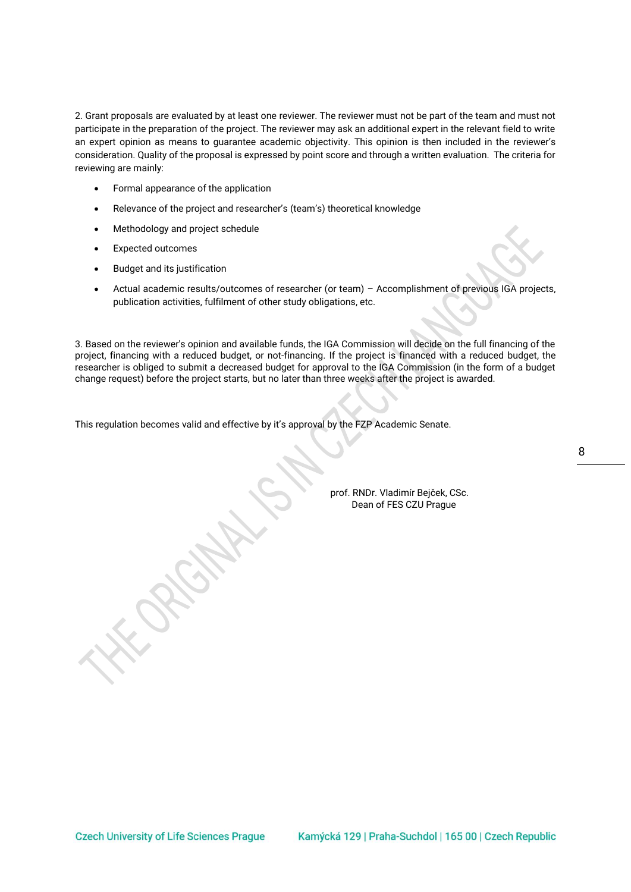2. Grant proposals are evaluated by at least one reviewer. The reviewer must not be part of the team and must not participate in the preparation of the project. The reviewer may ask an additional expert in the relevant field to write an expert opinion as means to guarantee academic objectivity. This opinion is then included in the reviewer's consideration. Quality of the proposal is expressed by point score and through a written evaluation. The criteria for reviewing are mainly:

- Formal appearance of the application
- Relevance of the project and researcher's (team's) theoretical knowledge
- Methodology and project schedule
- Expected outcomes
- Budget and its justification
- Actual academic results/outcomes of researcher (or team) Accomplishment of previous IGA projects, publication activities, fulfilment of other study obligations, etc.

3. Based on the reviewer's opinion and available funds, the IGA Commission will decide on the full financing of the project, financing with a reduced budget, or not-financing. If the project is financed with a reduced budget, the researcher is obliged to submit a decreased budget for approval to the IGA Commission (in the form of a budget change request) before the project starts, but no later than three weeks after the project is awarded.

This regulation becomes valid and effective by it's approval by the FZP Academic Senate.

8

prof. RNDr. Vladimír Bejček, CSc. Dean of FES CZU Prague